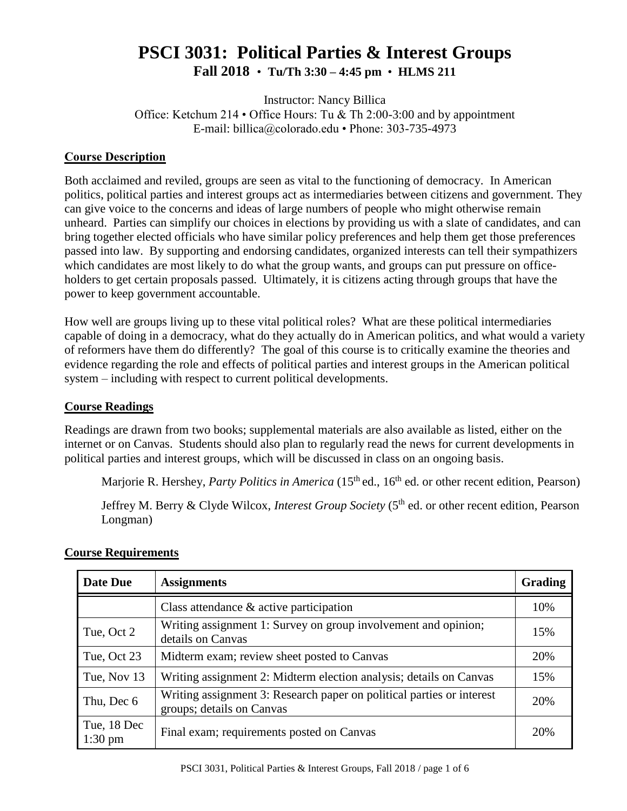# **PSCI 3031: Political Parties & Interest Groups Fall 2018** • **Tu/Th 3:30 – 4:45 pm** • **HLMS 211**

Instructor: Nancy Billica Office: Ketchum 214 • Office Hours: Tu & Th 2:00-3:00 and by appointment E-mail: billica@colorado.edu • Phone: 303-735-4973

### **Course Description**

Both acclaimed and reviled, groups are seen as vital to the functioning of democracy. In American politics, political parties and interest groups act as intermediaries between citizens and government. They can give voice to the concerns and ideas of large numbers of people who might otherwise remain unheard. Parties can simplify our choices in elections by providing us with a slate of candidates, and can bring together elected officials who have similar policy preferences and help them get those preferences passed into law. By supporting and endorsing candidates, organized interests can tell their sympathizers which candidates are most likely to do what the group wants, and groups can put pressure on officeholders to get certain proposals passed. Ultimately, it is citizens acting through groups that have the power to keep government accountable.

How well are groups living up to these vital political roles? What are these political intermediaries capable of doing in a democracy, what do they actually do in American politics, and what would a variety of reformers have them do differently? The goal of this course is to critically examine the theories and evidence regarding the role and effects of political parties and interest groups in the American political system – including with respect to current political developments.

#### **Course Readings**

Readings are drawn from two books; supplemental materials are also available as listed, either on the internet or on Canvas. Students should also plan to regularly read the news for current developments in political parties and interest groups, which will be discussed in class on an ongoing basis.

Marjorie R. Hershey, *Party Politics in America* (15<sup>th</sup> ed., 16<sup>th</sup> ed. or other recent edition, Pearson)

Jeffrey M. Berry & Clyde Wilcox, *Interest Group Society* (5<sup>th</sup> ed. or other recent edition, Pearson Longman)

| Date Due                         | <b>Assignments</b>                                                                                 | Grading |
|----------------------------------|----------------------------------------------------------------------------------------------------|---------|
|                                  | Class attendance $\&$ active participation                                                         | 10%     |
| Tue, Oct 2                       | Writing assignment 1: Survey on group involvement and opinion;<br>details on Canvas                | 15%     |
| Tue, Oct 23                      | Midterm exam; review sheet posted to Canvas                                                        | 20%     |
| Tue, Nov 13                      | Writing assignment 2: Midterm election analysis; details on Canvas                                 | 15%     |
| Thu, Dec 6                       | Writing assignment 3: Research paper on political parties or interest<br>groups; details on Canvas | 20%     |
| Tue, 18 Dec<br>$1:30 \text{ pm}$ | Final exam; requirements posted on Canvas                                                          | 20%     |

# **Course Requirements**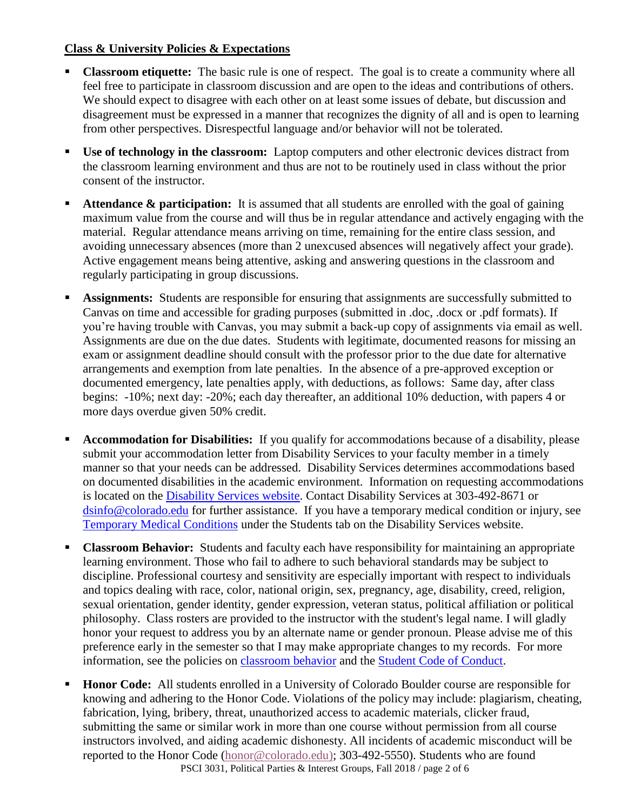# **Class & University Policies & Expectations**

- **Classroom etiquette:** The basic rule is one of respect. The goal is to create a community where all feel free to participate in classroom discussion and are open to the ideas and contributions of others. We should expect to disagree with each other on at least some issues of debate, but discussion and disagreement must be expressed in a manner that recognizes the dignity of all and is open to learning from other perspectives. Disrespectful language and/or behavior will not be tolerated.
- **Use of technology in the classroom:** Laptop computers and other electronic devices distract from the classroom learning environment and thus are not to be routinely used in class without the prior consent of the instructor.
- Attendance & participation: It is assumed that all students are enrolled with the goal of gaining maximum value from the course and will thus be in regular attendance and actively engaging with the material. Regular attendance means arriving on time, remaining for the entire class session, and avoiding unnecessary absences (more than 2 unexcused absences will negatively affect your grade). Active engagement means being attentive, asking and answering questions in the classroom and regularly participating in group discussions.
- **Assignments:** Students are responsible for ensuring that assignments are successfully submitted to Canvas on time and accessible for grading purposes (submitted in .doc, .docx or .pdf formats). If you're having trouble with Canvas, you may submit a back-up copy of assignments via email as well. Assignments are due on the due dates. Students with legitimate, documented reasons for missing an exam or assignment deadline should consult with the professor prior to the due date for alternative arrangements and exemption from late penalties. In the absence of a pre-approved exception or documented emergency, late penalties apply, with deductions, as follows: Same day, after class begins: -10%; next day: -20%; each day thereafter, an additional 10% deduction, with papers 4 or more days overdue given 50% credit.
- **Accommodation for Disabilities:** If you qualify for accommodations because of a disability, please submit your accommodation letter from Disability Services to your faculty member in a timely manner so that your needs can be addressed. Disability Services determines accommodations based on documented disabilities in the academic environment. Information on requesting accommodations is located on the [Disability Services website.](http://www.colorado.edu/disabilityservices/students) Contact Disability Services at 303-492-8671 or [dsinfo@colorado.edu](mailto:dsinfo@colorado.edu) for further assistance. If you have a temporary medical condition or injury, see [Temporary Medical Conditions](http://www.colorado.edu/disabilityservices/students/temporary-medical-conditions) under the Students tab on the Disability Services website.
- **Classroom Behavior:** Students and faculty each have responsibility for maintaining an appropriate learning environment. Those who fail to adhere to such behavioral standards may be subject to discipline. Professional courtesy and sensitivity are especially important with respect to individuals and topics dealing with race, color, national origin, sex, pregnancy, age, disability, creed, religion, sexual orientation, gender identity, gender expression, veteran status, political affiliation or political philosophy. Class rosters are provided to the instructor with the student's legal name. I will gladly honor your request to address you by an alternate name or gender pronoun. Please advise me of this preference early in the semester so that I may make appropriate changes to my records. For more information, see the policies on [classroom behavior](http://www.colorado.edu/policies/student-classroom-and-course-related-behavior) and the [Student Code of Conduct.](http://www.colorado.edu/osccr/)
- **Honor Code:** All students enrolled in a University of Colorado Boulder course are responsible for knowing and adhering to the Honor Code. Violations of the policy may include: plagiarism, cheating, fabrication, lying, bribery, threat, unauthorized access to academic materials, clicker fraud, submitting the same or similar work in more than one course without permission from all course instructors involved, and aiding academic dishonesty. All incidents of academic misconduct will be reported to the Honor Code [\(honor@colorado.edu\)](mailto:honor@colorado.edu); 303-492-5550). Students who are found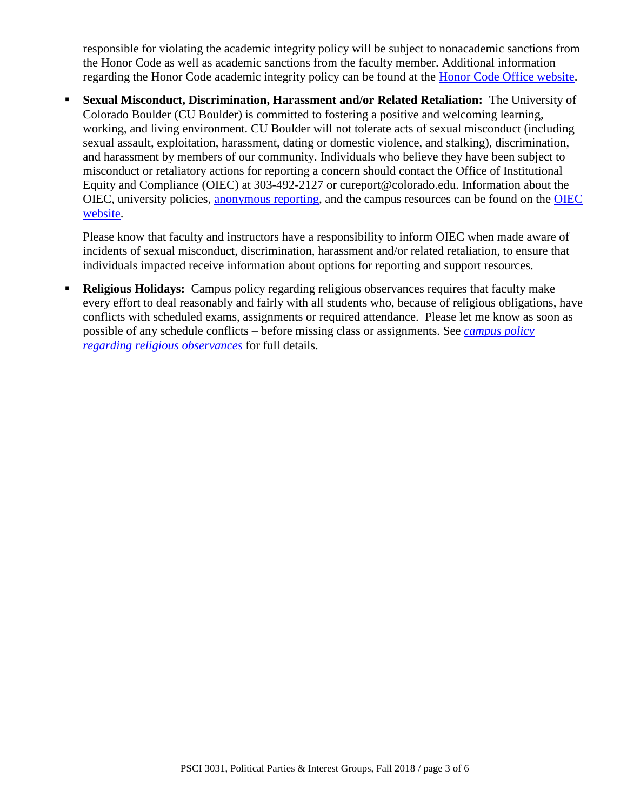responsible for violating the academic integrity policy will be subject to nonacademic sanctions from the Honor Code as well as academic sanctions from the faculty member. Additional information regarding the Honor Code academic integrity policy can be found at the [Honor Code Office website.](https://www.colorado.edu/osccr/honor-code)

 **Sexual Misconduct, Discrimination, Harassment and/or Related Retaliation:** The University of Colorado Boulder (CU Boulder) is committed to fostering a positive and welcoming learning, working, and living environment. CU Boulder will not tolerate acts of sexual misconduct (including sexual assault, exploitation, harassment, dating or domestic violence, and stalking), discrimination, and harassment by members of our community. Individuals who believe they have been subject to misconduct or retaliatory actions for reporting a concern should contact the Office of Institutional Equity and Compliance (OIEC) at 303-492-2127 or cureport@colorado.edu. Information about the OIEC, university policies, [anonymous reporting,](https://cuboulder.qualtrics.com/jfe/form/SV_0PnqVK4kkIJIZnf) and the campus resources can be found on the [OIEC](http://www.colorado.edu/institutionalequity/)  [website.](http://www.colorado.edu/institutionalequity/)

Please know that faculty and instructors have a responsibility to inform OIEC when made aware of incidents of sexual misconduct, discrimination, harassment and/or related retaliation, to ensure that individuals impacted receive information about options for reporting and support resources.

 **Religious Holidays:** Campus policy regarding religious observances requires that faculty make every effort to deal reasonably and fairly with all students who, because of religious obligations, have conflicts with scheduled exams, assignments or required attendance. Please let me know as soon as possible of any schedule conflicts – before missing class or assignments. See *[campus policy](http://www.colorado.edu/policies/observance-religious-holidays-and-absences-classes-andor-exams)  [regarding religious observances](http://www.colorado.edu/policies/observance-religious-holidays-and-absences-classes-andor-exams)* for full details.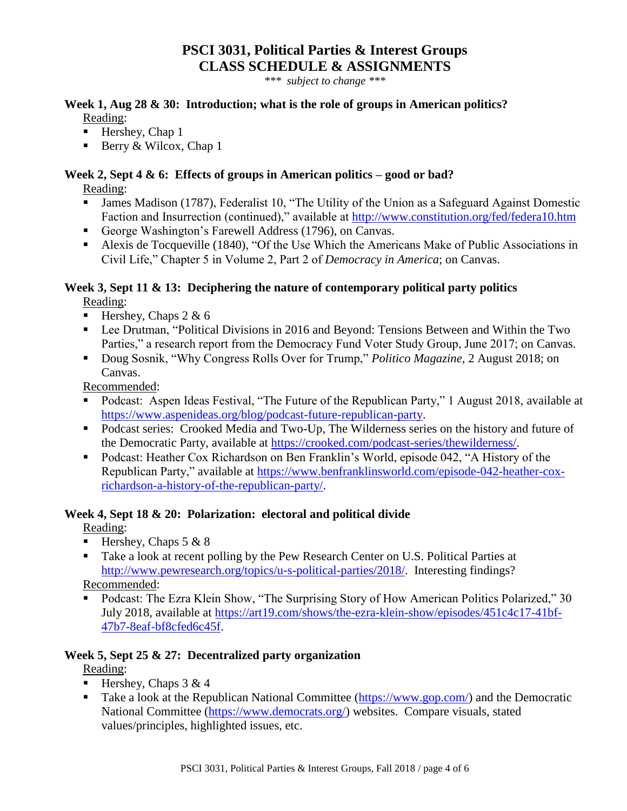# **PSCI 3031, Political Parties & Interest Groups CLASS SCHEDULE & ASSIGNMENTS**

*\*\*\* subject to change \*\*\**

# **Week 1, Aug 28 & 30: Introduction; what is the role of groups in American politics?** Reading:

- $\blacksquare$  Hershey, Chap 1
- Berry & Wilcox, Chap 1

# **Week 2, Sept 4 & 6: Effects of groups in American politics – good or bad?**

Reading:

- James Madison (1787), Federalist 10, "The Utility of the Union as a Safeguard Against Domestic Faction and Insurrection (continued)," available at<http://www.constitution.org/fed/federa10.htm>
- George Washington's Farewell Address (1796), on Canvas.
- Alexis de Tocqueville (1840), "Of the Use Which the Americans Make of Public Associations in Civil Life," Chapter 5 in Volume 2, Part 2 of *Democracy in America*; on Canvas.

# **Week 3, Sept 11 & 13: Deciphering the nature of contemporary political party politics**

Reading:

- Hershey, Chaps  $2 \& 6$
- Lee Drutman, "Political Divisions in 2016 and Beyond: Tensions Between and Within the Two Parties," a research report from the Democracy Fund Voter Study Group, June 2017; on Canvas.
- Doug Sosnik, "Why Congress Rolls Over for Trump," *Politico Magazine,* 2 August 2018; on Canvas.

Recommended:

- Podcast: Aspen Ideas Festival, "The Future of the Republican Party," 1 August 2018, available at [https://www.aspenideas.org/blog/podcast-future-republican-party.](https://www.aspenideas.org/blog/podcast-future-republican-party)
- Podcast series: Crooked Media and Two-Up, The Wilderness series on the history and future of the Democratic Party, available at [https://crooked.com/podcast-series/thewilderness/.](https://crooked.com/podcast-series/thewilderness/)
- Podcast: Heather Cox Richardson on Ben Franklin's World, episode 042, "A History of the Republican Party," available at [https://www.benfranklinsworld.com/episode-042-heather-cox](https://www.benfranklinsworld.com/episode-042-heather-cox-richardson-a-history-of-the-republican-party/)[richardson-a-history-of-the-republican-party/.](https://www.benfranklinsworld.com/episode-042-heather-cox-richardson-a-history-of-the-republican-party/)

# **Week 4, Sept 18 & 20: Polarization: electoral and political divide**

Reading:

- Hershey, Chaps  $5 & 8$
- Take a look at recent polling by the Pew Research Center on U.S. Political Parties at [http://www.pewresearch.org/topics/u-s-political-parties/2018/.](http://www.pewresearch.org/topics/u-s-political-parties/2018/) Interesting findings? Recommended:

 Podcast: The Ezra Klein Show, "The Surprising Story of How American Politics Polarized," 30 July 2018, available at [https://art19.com/shows/the-ezra-klein-show/episodes/451c4c17-41bf-](https://art19.com/shows/the-ezra-klein-show/episodes/451c4c17-41bf-47b7-8eaf-bf8cfed6c45f)[47b7-8eaf-bf8cfed6c45f.](https://art19.com/shows/the-ezra-klein-show/episodes/451c4c17-41bf-47b7-8eaf-bf8cfed6c45f)

# **Week 5, Sept 25 & 27: Decentralized party organization**

Reading:

- Hershey, Chaps  $3 \& 4$
- Take a look at the Republican National Committee ( $\frac{https://www.gov.com/}{https://www.gov.com/}{and the Democratic}$ National Committee [\(https://www.democrats.org/\)](https://www.democrats.org/) websites. Compare visuals, stated values/principles, highlighted issues, etc.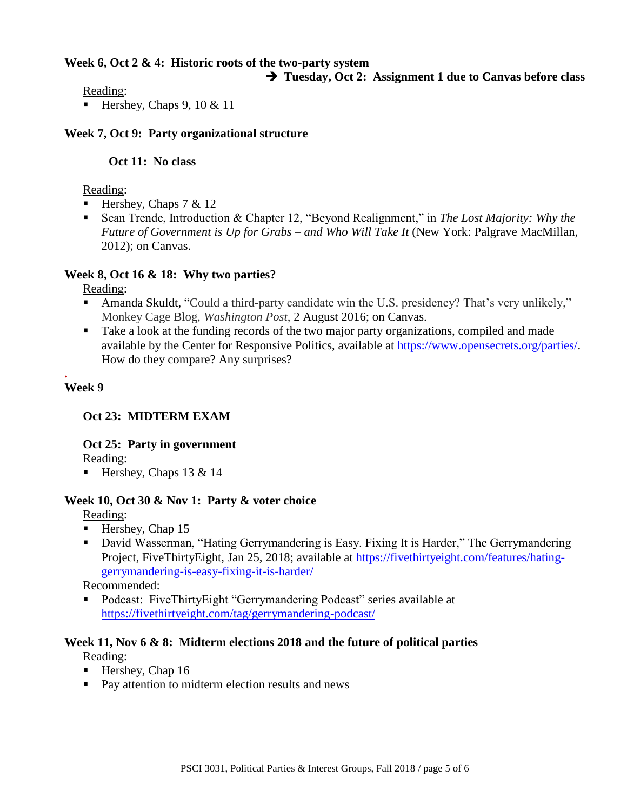#### **Week 6, Oct 2 & 4: Historic roots of the two-party system**

#### **Tuesday, Oct 2: Assignment 1 due to Canvas before class**

Reading:

Hershey, Chaps 9, 10  $& 11$ 

#### **Week 7, Oct 9: Party organizational structure**

#### **Oct 11: No class**

#### Reading:

- Hershey, Chaps  $7 < 12$
- Sean Trende, Introduction & Chapter 12, "Beyond Realignment," in *The Lost Majority: Why the Future of Government is Up for Grabs – and Who Will Take It* (New York: Palgrave MacMillan, 2012); on Canvas.

### **Week 8, Oct 16 & 18: Why two parties?**

Reading:

- Amanda Skuldt, "Could a third-party candidate win the U.S. presidency? That's very unlikely," Monkey Cage Blog, *Washington Post*, 2 August 2016; on Canvas.
- Take a look at the funding records of the two major party organizations, compiled and made available by the Center for Responsive Politics, available at [https://www.opensecrets.org/parties/.](https://www.opensecrets.org/parties/) How do they compare? Any surprises?

#### **. Week 9**

# **Oct 23: MIDTERM EXAM**

# **Oct 25: Party in government**

Reading:

Hershey, Chaps 13 & 14

# **Week 10, Oct 30 & Nov 1: Party & voter choice**

Reading:

- $\blacksquare$  Hershey, Chap 15
- David Wasserman, "Hating Gerrymandering is Easy. Fixing It is Harder," The Gerrymandering Project, FiveThirtyEight, Jan 25, 2018; available at [https://fivethirtyeight.com/features/hating](https://fivethirtyeight.com/features/hating-gerrymandering-is-easy-fixing-it-is-harder/)[gerrymandering-is-easy-fixing-it-is-harder/](https://fivethirtyeight.com/features/hating-gerrymandering-is-easy-fixing-it-is-harder/)

Recommended:

■ Podcast: FiveThirtyEight "Gerrymandering Podcast" series available at <https://fivethirtyeight.com/tag/gerrymandering-podcast/>

#### **Week 11, Nov 6 & 8: Midterm elections 2018 and the future of political parties** Reading:

- $\blacksquare$  Hershey, Chap 16
- **Pay attention to midterm election results and news**